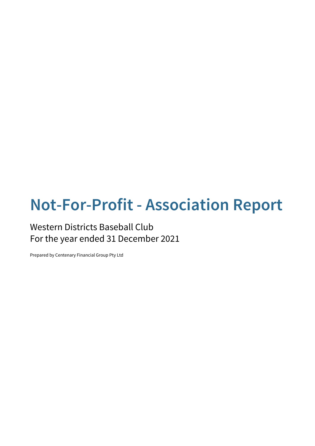# **Not-For-Profit - Association Report**

### Western Districts Baseball Club For the year ended 31 December 2021

Prepared by Centenary Financial Group Pty Ltd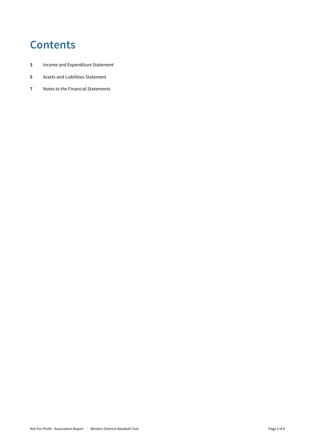# **Contents**

- **3** Income and Expenditure Statement
- **5** Assets and Liabilities Statement
- **7** Notes to the Financial Statements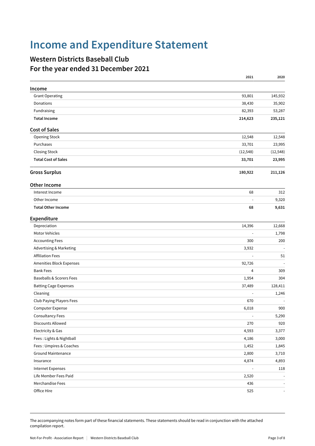# **Income and Expenditure Statement**

### **Western Districts Baseball Club For the year ended 31 December 2021**

|                                     | 2021                     | 2020                     |
|-------------------------------------|--------------------------|--------------------------|
| Income                              |                          |                          |
| <b>Grant Operating</b>              | 93,801                   | 145,932                  |
| Donations                           | 38,430                   | 35,902                   |
| Fundraising                         | 82,393                   | 53,287                   |
| <b>Total Income</b>                 | 214,623                  | 235,121                  |
| <b>Cost of Sales</b>                |                          |                          |
| <b>Opening Stock</b>                | 12,548                   | 12,548                   |
| Purchases                           | 33,701                   | 23,995                   |
| <b>Closing Stock</b>                | (12, 548)                | (12, 548)                |
| <b>Total Cost of Sales</b>          | 33,701                   | 23,995                   |
| <b>Gross Surplus</b>                | 180,922                  | 211,126                  |
| <b>Other Income</b>                 |                          |                          |
| Interest Income                     | 68                       | 312                      |
| Other Income                        | $\blacksquare$           | 9,320                    |
| <b>Total Other Income</b>           | 68                       | 9,631                    |
| Expenditure                         |                          |                          |
| Depreciation                        | 14,396                   | 12,668                   |
| Motor Vehicles                      | $\overline{\phantom{a}}$ | 1,798                    |
| <b>Accounting Fees</b>              | 300                      | 200                      |
| Advertising & Marketing             | 3,932                    |                          |
| <b>Affiliation Fees</b>             | ÷,                       | 51                       |
| Amenities Block Expenses            | 92,726                   |                          |
| <b>Bank Fees</b>                    | 4                        | 309                      |
| <b>Baseballs &amp; Scorers Fees</b> | 1,954                    | 304                      |
| <b>Batting Cage Expenses</b>        | 37,489                   | 128,411                  |
| Cleaning                            | ÷,                       | 1,246                    |
| Club Paying Players Fees            | 670                      |                          |
| Computer Expense                    | 6,018                    | 900                      |
| Consultancy Fees                    | $\blacksquare$           | 5,290                    |
| Discounts Allowed                   | 270                      | 920                      |
| Electricity & Gas                   | 4,593                    | 3,377                    |
| Fees: Lights & Nightball            | 4,186                    | 3,000                    |
| Fees: Umpires & Coaches             | 1,452                    | 1,845                    |
| Ground Maintenance                  | 2,800                    | 3,710                    |
| Insurance                           | 4,874                    | 4,893                    |
| <b>Internet Expenses</b>            |                          | 118                      |
| Life Member Fees Paid               | 2,520                    |                          |
| Merchandise Fees                    | 436                      | $\sim$                   |
| Office Hire                         | 525                      | $\overline{\phantom{a}}$ |

The accompanying notes form part of these financial statements. These statements should be read in conjunction with the attached compilation report.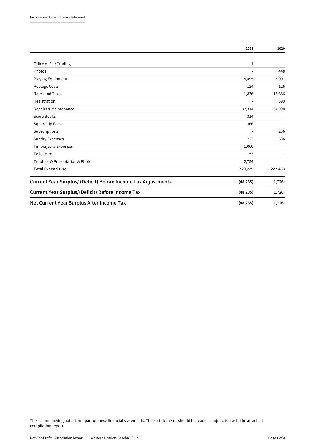|                                                               | 2021           | 2020     |
|---------------------------------------------------------------|----------------|----------|
|                                                               |                |          |
| Office of Fair Trading                                        | 1              |          |
| Photos                                                        |                | 448      |
| Playing Equipment                                             | 5,495          | 3,001    |
| Postage Costs                                                 | 124            | 126      |
| Rates and Taxes                                               | 1,836          | 13,386   |
| Registration                                                  | $\blacksquare$ | 599      |
| Repairs & Maintenance                                         | 37,314         | 34,990   |
| Score Books                                                   | 314            |          |
| Square Up Fees                                                | 366            | ٠        |
| Subscriptions                                                 |                | 256      |
| <b>Sundry Expenses</b>                                        | 723            | 636      |
| Timberjacks Expenses                                          | 1,000          |          |
| <b>Toliet Hire</b>                                            | 153            |          |
| Trophies & Presentation & Photos                              | 2,754          |          |
| <b>Total Expenditure</b>                                      | 229,225        | 222,483  |
| Current Year Surplus/ (Deficit) Before Income Tax Adjustments | (48, 235)      | (1, 726) |
| <b>Current Year Surplus/(Deficit) Before Income Tax</b>       | (48, 235)      | (1, 726) |
| Net Current Year Surplus After Income Tax                     | (48, 235)      | (1, 726) |

The accompanying notes form part of these financial statements. These statements should be read in conjunction with the attached compilation report.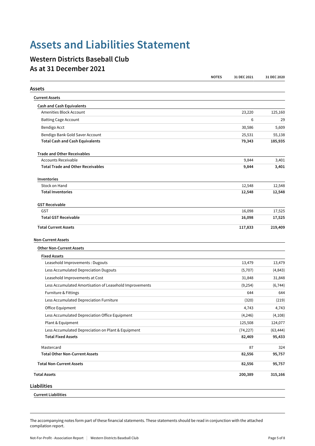# **Assets and Liabilities Statement**

### **Western Districts Baseball Club As at 31 December 2021**

|                                                              | <b>NOTES</b> | 31 DEC 2021 | 31 DEC 2020 |
|--------------------------------------------------------------|--------------|-------------|-------------|
| Assets                                                       |              |             |             |
| <b>Current Assets</b>                                        |              |             |             |
| <b>Cash and Cash Equivalents</b>                             |              |             |             |
| Amenities Block Account                                      |              | 23,220      | 125,160     |
| <b>Batting Cage Account</b>                                  |              | 6           | 29          |
| Bendigo Acct                                                 |              | 30,586      | 5,609       |
| Bendigo Bank Gold Saver Account                              |              | 25,531      | 55,138      |
| <b>Total Cash and Cash Equivalents</b>                       |              | 79,343      | 185,935     |
| <b>Trade and Other Receivables</b>                           |              |             |             |
| <b>Accounts Receivable</b>                                   |              | 9,844       | 3,401       |
| <b>Total Trade and Other Receivables</b>                     |              | 9,844       | 3,401       |
| Inventories                                                  |              |             |             |
| Stock on Hand                                                |              | 12,548      | 12,548      |
| <b>Total Inventories</b>                                     |              | 12,548      | 12,548      |
| <b>GST Receivable</b>                                        |              |             |             |
| GST                                                          |              | 16,098      | 17,525      |
| <b>Total GST Receivable</b>                                  |              | 16,098      | 17,525      |
| <b>Non-Current Assets</b><br><b>Other Non-Current Assets</b> |              |             |             |
| <b>Fixed Assets</b>                                          |              |             |             |
| Leasehold Improvements : Dugouts                             |              | 13,479      | 13,479      |
| Less Accumulated Depreciation Dugouts                        |              | (5,707)     | (4, 843)    |
| Leasehold Improvements at Cost                               |              | 31,848      | 31,848      |
| Less Accumulated Amortisation of Leasehold Improvements      |              | (9,254)     | (6, 744)    |
| Furniture & Fittings                                         |              | 644         | 644         |
| Less Accumulated Depreciation Furniture                      |              | (320)       | (219)       |
| Office Equipment                                             |              | 4,743       | 4,743       |
| Less Accumulated Depreciation Office Equipment               |              | (4, 246)    | (4, 108)    |
| Plant & Equipment                                            |              | 125,508     | 124,077     |
| Less Accumulated Depreciation on Plant & Equipment           |              | (74, 227)   | (63, 444)   |
| <b>Total Fixed Assets</b>                                    |              | 82,469      | 95,433      |
| Mastercard                                                   |              | 87          | 324         |
| <b>Total Other Non-Current Assets</b>                        |              | 82,556      | 95,757      |
| <b>Total Non-Current Assets</b>                              |              | 82,556      | 95,757      |
| <b>Total Assets</b>                                          |              | 200,389     | 315,166     |
| Liabilities                                                  |              |             |             |
| <b>Current Liabilities</b>                                   |              |             |             |

The accompanying notes form part of these financial statements. These statements should be read in conjunction with the attached compilation report.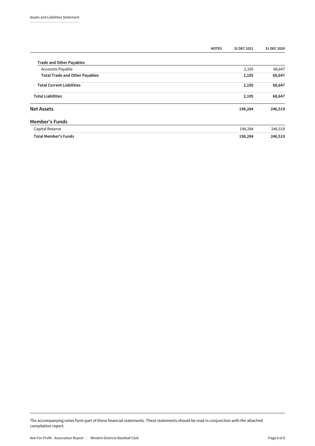|                                       | <b>NOTES</b> | 31 DEC 2021 | 31 DEC 2020 |
|---------------------------------------|--------------|-------------|-------------|
| <b>Trade and Other Payables</b>       |              |             |             |
| <b>Accounts Payable</b>               |              | 2,105       | 68,647      |
| <b>Total Trade and Other Payables</b> |              | 2,105       | 68,647      |
| <b>Total Current Liabilities</b>      |              | 2,105       | 68,647      |
| <b>Total Liabilities</b>              |              | 2,105       | 68,647      |
| <b>Net Assets</b>                     |              | 198,284     | 246,519     |
| <b>Member's Funds</b>                 |              |             |             |
| Capital Reserve                       |              | 198,284     | 246,519     |
| <b>Total Member's Funds</b>           |              | 198,284     | 246,519     |

The accompanying notes form part of these financial statements. These statements should be read in conjunction with the attached compilation report.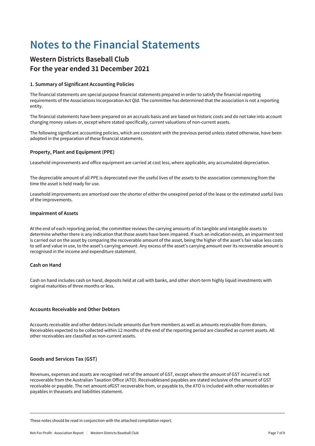# **Notes to the Financial Statements**

### **Western Districts Baseball Club For the year ended 31 December 2021**

#### **1. Summary of Significant Accounting Policies**

The financial statements are special purpose financial statements prepared in order to satisfy the financial reporting requirements of the Associations Incorporation Act Qld. The committee has determined that the association is not a reporting entity.

The financial statements have been prepared on an accruals basis and are based on historic costs and do not take into account changing money values or, except where stated specifically, current valuations of non-current assets.

The following significant accounting policies, which are consistent with the previous period unless stated otherwise, have been adopted in the preparation of these financial statements.

#### **Property, Plant and Equipment (PPE)**

Leasehold improvements and office equipment are carried at cost less, where applicable, any accumulated depreciation.

The depreciable amount of all PPE is depreciated over the useful lives of the assets to the association commencing from the time the asset is held ready for use.

Leasehold improvements are amortised over the shorter of either the unexpired period of the lease or the estimated useful lives of the improvements.

#### **Impairment of Assets**

At the end of each reporting period, the committee reviews the carrying amounts of its tangible and intangible assets to determine whether there is any indication that those assets have been impaired. If such an indication exists, an impairment test is carried out on the asset by comparing the recoverable amount of the asset, being the higher of the asset's fair value less costs to sell and value in use, to the asset's carrying amount. Any excess of the asset's carrying amount over its recoverable amount is recognised in the income and expenditure statement.

#### **Cash on Hand**

Cash on hand includes cash on hand, deposits held at call with banks, and other short-term highly liquid investments with original maturities of three months or less.

#### **Accounts Receivable and Other Debtors**

Accounts receivable and other debtors include amounts due from members as well as amounts receivable from donors. Receivables expected to be collected within 12 months of the end of the reporting period are classified as current assets. All other receivables are classified as non-current assets.

#### **Goods and Services Tax (GST)**

Revenues, expenses and assets are recognised net of the amount of GST, except where the amount of GST incurred is not recoverable from the Australian Taxation Office (ATO). Receivablesand payables are stated inclusive of the amount of GST receivable or payable. The net amount ofGST recoverable from, or payable to, the ATO is included with other receivables or payables in theassets and liabilities statement.

These notes should be read in conjunction with the attached compilation report.